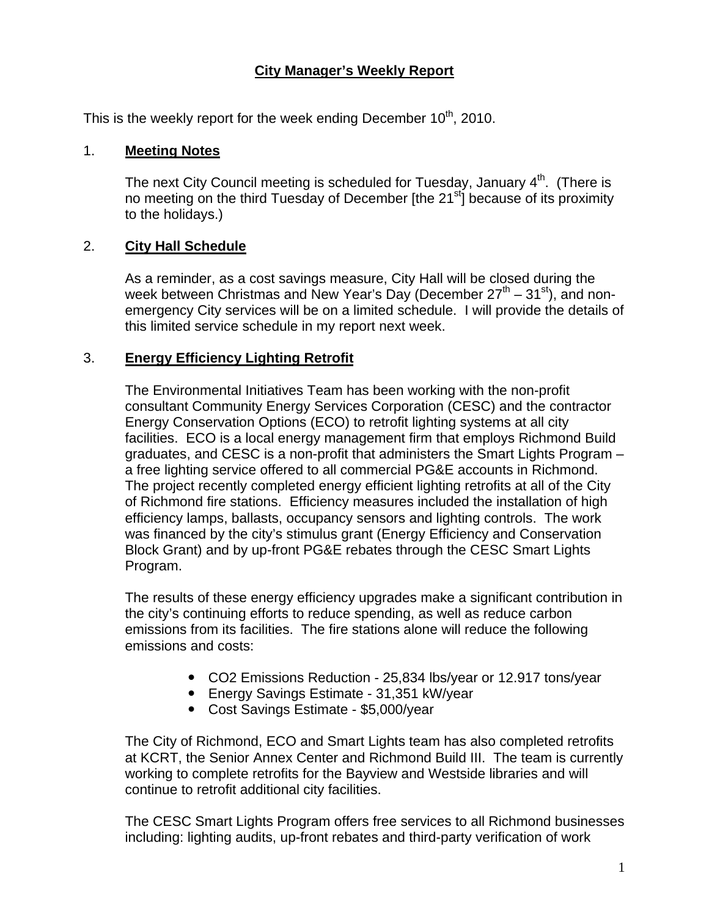### **City Manager's Weekly Report**

This is the weekly report for the week ending December  $10<sup>th</sup>$ , 2010.

#### 1. **Meeting Notes**

The next City Council meeting is scheduled for Tuesday, January  $4<sup>th</sup>$ . (There is no meeting on the third Tuesday of December  $[$ the 21 $]$ <sup>st</sup> $]$  because of its proximity to the holidays.)

#### 2. **City Hall Schedule**

As a reminder, as a cost savings measure, City Hall will be closed during the week between Christmas and New Year's Day (December  $27<sup>th</sup> - 31<sup>st</sup>$ ), and nonemergency City services will be on a limited schedule. I will provide the details of this limited service schedule in my report next week.

#### 3. **Energy Efficiency Lighting Retrofit**

The Environmental Initiatives Team has been working with the non-profit consultant Community Energy Services Corporation (CESC) and the contractor Energy Conservation Options (ECO) to retrofit lighting systems at all city facilities. ECO is a local energy management firm that employs Richmond Build graduates, and CESC is a non-profit that administers the Smart Lights Program – a free lighting service offered to all commercial PG&E accounts in Richmond. The project recently completed energy efficient lighting retrofits at all of the City of Richmond fire stations. Efficiency measures included the installation of high efficiency lamps, ballasts, occupancy sensors and lighting controls. The work was financed by the city's stimulus grant (Energy Efficiency and Conservation Block Grant) and by up-front PG&E rebates through the CESC Smart Lights Program.

The results of these energy efficiency upgrades make a significant contribution in the city's continuing efforts to reduce spending, as well as reduce carbon emissions from its facilities. The fire stations alone will reduce the following emissions and costs:

- CO2 Emissions Reduction 25,834 lbs/year or 12.917 tons/year
- Energy Savings Estimate 31,351 kW/year
- Cost Savings Estimate \$5,000/year

The City of Richmond, ECO and Smart Lights team has also completed retrofits at KCRT, the Senior Annex Center and Richmond Build III. The team is currently working to complete retrofits for the Bayview and Westside libraries and will continue to retrofit additional city facilities.

The CESC Smart Lights Program offers free services to all Richmond businesses including: lighting audits, up-front rebates and third-party verification of work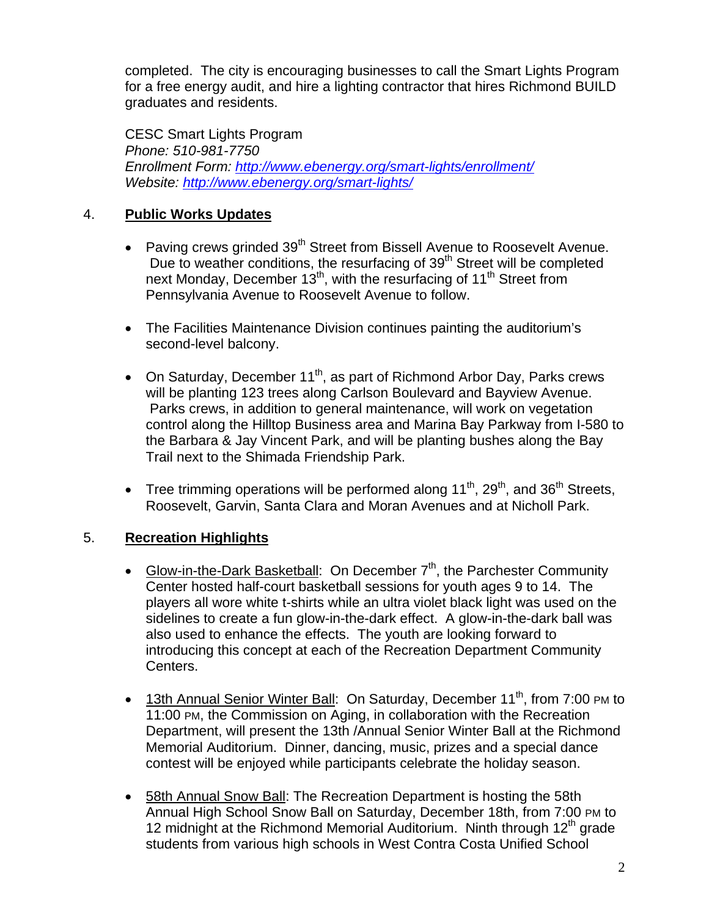completed. The city is encouraging businesses to call the Smart Lights Program for a free energy audit, and hire a lighting contractor that hires Richmond BUILD graduates and residents.

CESC Smart Lights Program *Phone: 510-981-7750 Enrollment Form: http://www.ebenergy.org/smart-lights/enrollment/ Website: http://www.ebenergy.org/smart-lights/*

### 4. **Public Works Updates**

- Paving crews grinded  $39<sup>th</sup>$  Street from Bissell Avenue to Roosevelt Avenue. Due to weather conditions, the resurfacing of 39<sup>th</sup> Street will be completed next Monday, December  $13<sup>th</sup>$ , with the resurfacing of  $11<sup>th</sup>$  Street from Pennsylvania Avenue to Roosevelt Avenue to follow.
- The Facilities Maintenance Division continues painting the auditorium's second-level balcony.
- On Saturday, December  $11^{th}$ , as part of Richmond Arbor Day, Parks crews will be planting 123 trees along Carlson Boulevard and Bayview Avenue. Parks crews, in addition to general maintenance, will work on vegetation control along the Hilltop Business area and Marina Bay Parkway from I-580 to the Barbara & Jay Vincent Park, and will be planting bushes along the Bay Trail next to the Shimada Friendship Park.
- Tree trimming operations will be performed along  $11^{th}$ ,  $29^{th}$ , and  $36^{th}$  Streets, Roosevelt, Garvin, Santa Clara and Moran Avenues and at Nicholl Park.

## 5. **Recreation Highlights**

- Glow-in-the-Dark Basketball: On December  $7<sup>th</sup>$ , the Parchester Community Center hosted half-court basketball sessions for youth ages 9 to 14. The players all wore white t-shirts while an ultra violet black light was used on the sidelines to create a fun glow-in-the-dark effect. A glow-in-the-dark ball was also used to enhance the effects. The youth are looking forward to introducing this concept at each of the Recreation Department Community Centers.
- 13th Annual Senior Winter Ball: On Saturday, December 11<sup>th</sup>, from 7:00 PM to 11:00 PM, the Commission on Aging, in collaboration with the Recreation Department, will present the 13th /Annual Senior Winter Ball at the Richmond Memorial Auditorium. Dinner, dancing, music, prizes and a special dance contest will be enjoyed while participants celebrate the holiday season.
- 58th Annual Snow Ball: The Recreation Department is hosting the 58th Annual High School Snow Ball on Saturday, December 18th, from 7:00 PM to 12 midnight at the Richmond Memorial Auditorium. Ninth through  $12<sup>th</sup>$  grade students from various high schools in West Contra Costa Unified School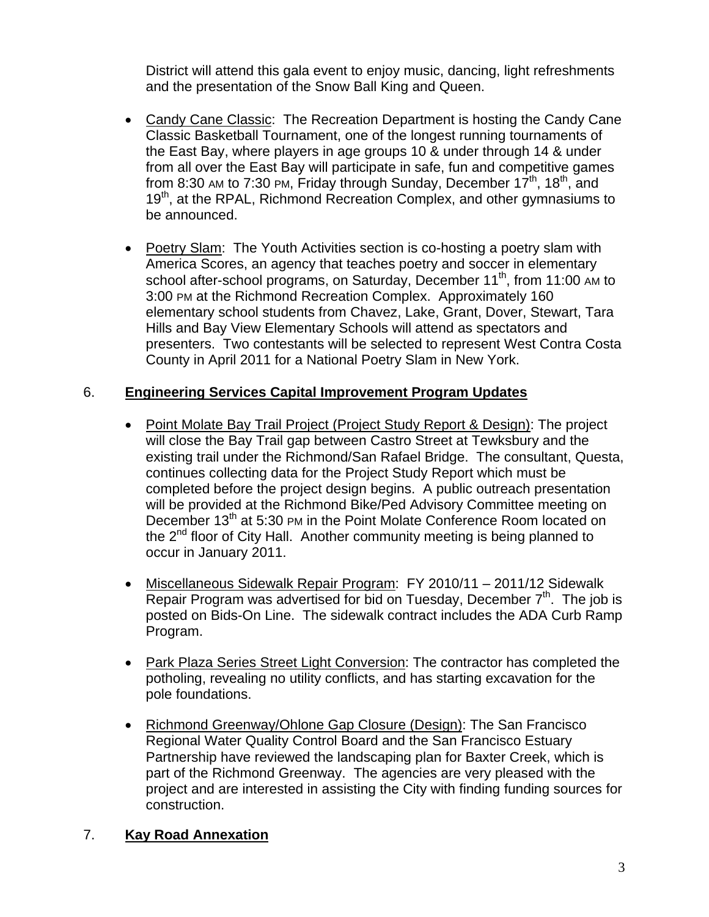District will attend this gala event to enjoy music, dancing, light refreshments and the presentation of the Snow Ball King and Queen.

- Candy Cane Classic: The Recreation Department is hosting the Candy Cane Classic Basketball Tournament, one of the longest running tournaments of the East Bay, where players in age groups 10 & under through 14 & under from all over the East Bay will participate in safe, fun and competitive games from 8:30 AM to 7:30 PM, Friday through Sunday, December  $17<sup>th</sup>$ ,  $18<sup>th</sup>$ , and 19<sup>th</sup>, at the RPAL, Richmond Recreation Complex, and other gymnasiums to be announced.
- Poetry Slam: The Youth Activities section is co-hosting a poetry slam with America Scores, an agency that teaches poetry and soccer in elementary school after-school programs, on Saturday, December 11<sup>th</sup>, from 11:00 AM to 3:00 PM at the Richmond Recreation Complex. Approximately 160 elementary school students from Chavez, Lake, Grant, Dover, Stewart, Tara Hills and Bay View Elementary Schools will attend as spectators and presenters. Two contestants will be selected to represent West Contra Costa County in April 2011 for a National Poetry Slam in New York.

## 6. **Engineering Services Capital Improvement Program Updates**

- Point Molate Bay Trail Project (Project Study Report & Design): The project will close the Bay Trail gap between Castro Street at Tewksbury and the existing trail under the Richmond/San Rafael Bridge. The consultant, Questa, continues collecting data for the Project Study Report which must be completed before the project design begins. A public outreach presentation will be provided at the Richmond Bike/Ped Advisory Committee meeting on December 13<sup>th</sup> at 5:30 PM in the Point Molate Conference Room located on the  $2^{nd}$  floor of City Hall. Another community meeting is being planned to occur in January 2011.
- Miscellaneous Sidewalk Repair Program: FY 2010/11 2011/12 Sidewalk Repair Program was advertised for bid on Tuesday, December  $7<sup>th</sup>$ . The job is posted on Bids-On Line. The sidewalk contract includes the ADA Curb Ramp Program.
- Park Plaza Series Street Light Conversion: The contractor has completed the potholing, revealing no utility conflicts, and has starting excavation for the pole foundations.
- Richmond Greenway/Ohlone Gap Closure (Design): The San Francisco Regional Water Quality Control Board and the San Francisco Estuary Partnership have reviewed the landscaping plan for Baxter Creek, which is part of the Richmond Greenway. The agencies are very pleased with the project and are interested in assisting the City with finding funding sources for construction.

### 7. **Kay Road Annexation**